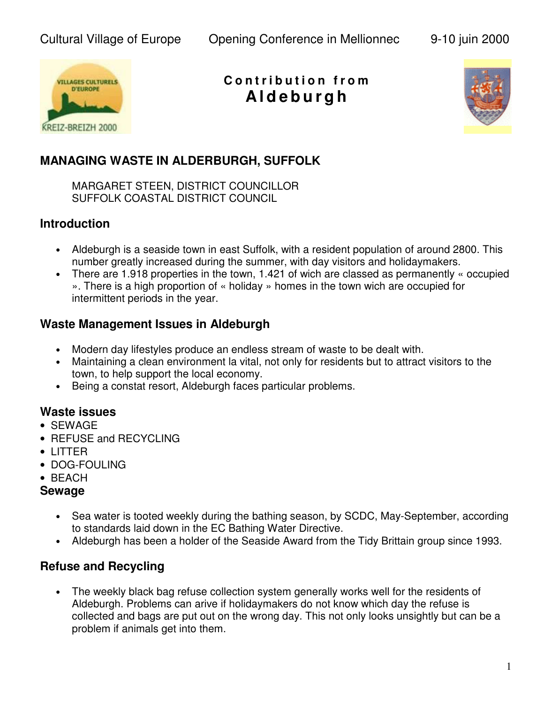

**C o n t r i b u t i o n f r o m A l d e b u r g h**



# **MANAGING WASTE IN ALDERBURGH, SUFFOLK**

MARGARET STEEN, DISTRICT COUNCILLOR SUFFOLK COASTAL DISTRICT COUNCIL

### **Introduction**

- Aldeburgh is a seaside town in east Suffolk, with a resident population of around 2800. This number greatly increased during the summer, with day visitors and holidaymakers.
- There are 1.918 properties in the town, 1.421 of wich are classed as permanently « occupied ». There is a high proportion of « holiday » homes in the town wich are occupied for intermittent periods in the year.

### **Waste Management Issues in Aldeburgh**

- Modern day lifestyles produce an endless stream of waste to be dealt with.
- Maintaining a clean environment la vital, not only for residents but to attract visitors to the town, to help support the local economy.
- Being a constat resort, Aldeburgh faces particular problems.

#### **Waste issues**

- SEWAGE
- REFUSE and RECYCLING
- LITTER
- DOG-FOULING
- BEACH

#### **Sewage**

- Sea water is tooted weekly during the bathing season, by SCDC, May-September, according to standards laid down in the EC Bathing Water Directive.
- Aldeburgh has been a holder of the Seaside Award from the Tidy Brittain group since 1993.

## **Refuse and Recycling**

• The weekly black bag refuse collection system generally works well for the residents of Aldeburgh. Problems can arive if holidaymakers do not know which day the refuse is collected and bags are put out on the wrong day. This not only looks unsightly but can be a problem if animals get into them.